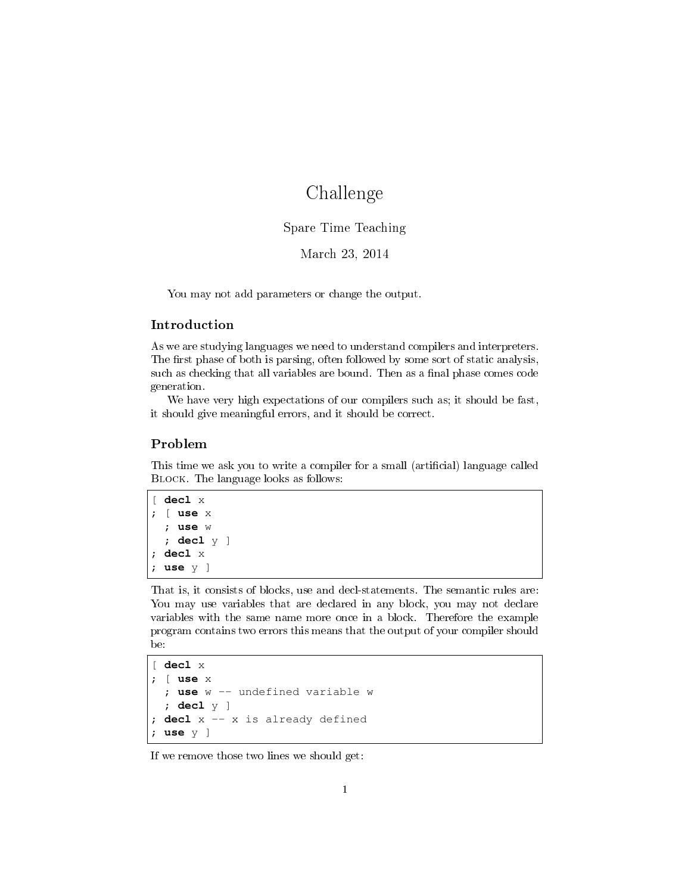# Challenge

## Spare Time Teaching

## March 23, 2014

You may not add parameters or change the output.

### Introduction

As we are studying languages we need to understand compilers and interpreters. The first phase of both is parsing, often followed by some sort of static analysis, such as checking that all variables are bound. Then as a final phase comes code generation.

We have very high expectations of our compilers such as; it should be fast, it should give meaningful errors, and it should be correct.

### Problem

This time we ask you to write a compiler for a small (artificial) language called Block. The language looks as follows:

```
[ decl x
; [ use x
  ; use w
  ; decl y ]
; decl x
; use y ]
```
That is, it consists of blocks, use and decl-statements. The semantic rules are: You may use variables that are declared in any block, you may not declare variables with the same name more once in a block. Therefore the example program contains two errors this means that the output of your compiler should be:

```
[ decl x
; [ use x
  ; use w -- undefined variable w
  ; decl y ]
; decl x -- x is already defined
 ; use y ]
```
If we remove those two lines we should get: